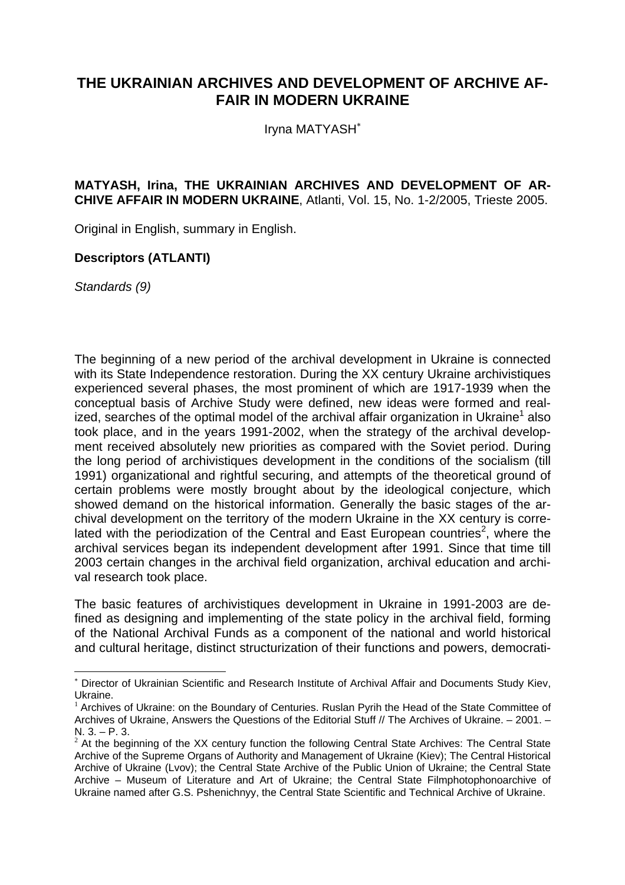## **THE UKRAINIAN ARCHIVES AND DEVELOPMENT OF ARCHIVE AF-FAIR IN MODERN UKRAINE**

Iryna MATYASH<sup>∗</sup>

## **MATYASH, Irina, THE UKRAINIAN ARCHIVES AND DEVELOPMENT OF AR-CHIVE AFFAIR IN MODERN UKRAINE**, Atlanti, Vol. 15, No. 1-2/2005, Trieste 2005.

Original in English, summary in English.

## **Descriptors (ATLANTI)**

*Standards (9)* 

l

The beginning of a new period of the archival development in Ukraine is connected with its State Independence restoration. During the XX century Ukraine archivistiques experienced several phases, the most prominent of which are 1917-1939 when the conceptual basis of Archive Study were defined, new ideas were formed and realized, searches of the optimal model of the archival affair organization in Ukraine<sup>1</sup> also took place, and in the years 1991-2002, when the strategy of the archival development received absolutely new priorities as compared with the Soviet period. During the long period of archivistiques development in the conditions of the socialism (till 1991) organizational and rightful securing, and attempts of the theoretical ground of certain problems were mostly brought about by the ideological conjecture, which showed demand on the historical information. Generally the basic stages of the archival development on the territory of the modern Ukraine in the XX century is correlated with the periodization of the Central and East European countries<sup>2</sup>, where the archival services began its independent development after 1991. Since that time till 2003 certain changes in the archival field organization, archival education and archival research took place.

The basic features of archivistiques development in Ukraine in 1991-2003 are defined as designing and implementing of the state policy in the archival field, forming of the National Archival Funds as a component of the national and world historical and cultural heritage, distinct structurization of their functions and powers, democrati-

<sup>∗</sup> Director of Ukrainian Scientific and Research Institute of Archival Affair and Documents Study Kiev, Ukraine.

 $1$  Archives of Ukraine: on the Boundary of Centuries. Ruslan Pyrih the Head of the State Committee of Archives of Ukraine, Answers the Questions of the Editorial Stuff // The Archives of Ukraine. – 2001. – N. 3. – P. 3.

 $2$  At the beginning of the XX century function the following Central State Archives: The Central State Archive of the Supreme Organs of Authority and Management of Ukraine (Kiev); The Central Historical Archive of Ukraine (Lvov); the Central State Archive of the Public Union of Ukraine; the Central State Archive – Museum of Literature and Art of Ukraine; the Central State Filmphotophonoarchive of Ukraine named after G.S. Pshenichnyy, the Central State Scientific and Technical Archive of Ukraine.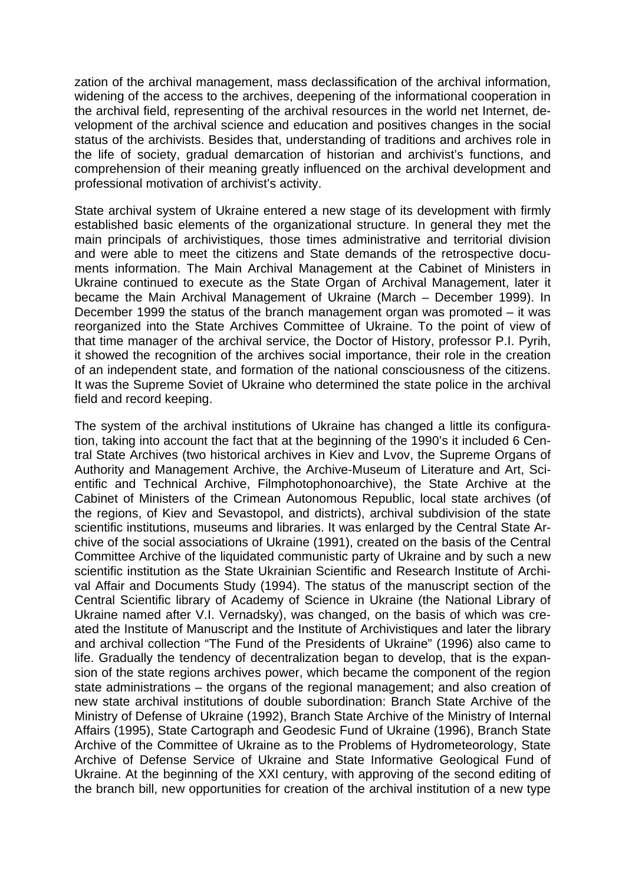zation of the archival management, mass declassification of the archival information, widening of the access to the archives, deepening of the informational cooperation in the archival field, representing of the archival resources in the world net Internet, development of the archival science and education and positives changes in the social status of the archivists. Besides that, understanding of traditions and archives role in the life of society, gradual demarcation of historian and archivist's functions, and comprehension of their meaning greatly influenced on the archival development and professional motivation of archivist's activity.

State archival system of Ukraine entered a new stage of its development with firmly established basic elements of the organizational structure. In general they met the main principals of archivistiques, those times administrative and territorial division and were able to meet the citizens and State demands of the retrospective documents information. The Main Archival Management at the Cabinet of Ministers in Ukraine continued to execute as the State Organ of Archival Management, later it became the Main Archival Management of Ukraine (March – December 1999). In December 1999 the status of the branch management organ was promoted – it was reorganized into the State Archives Committee of Ukraine. To the point of view of that time manager of the archival service, the Doctor of History, professor P.I. Pyrih, it showed the recognition of the archives social importance, their role in the creation of an independent state, and formation of the national consciousness of the citizens. It was the Supreme Soviet of Ukraine who determined the state police in the archival field and record keeping.

The system of the archival institutions of Ukraine has changed a little its configuration, taking into account the fact that at the beginning of the 1990's it included 6 Central State Archives (two historical archives in Kiev and Lvov, the Supreme Organs of Authority and Management Archive, the Archive-Museum of Literature and Art, Scientific and Technical Archive, Filmphotophonoarchive), the State Archive at the Cabinet of Ministers of the Crimean Autonomous Republic, local state archives (of the regions, of Kiev and Sevastopol, and districts), archival subdivision of the state scientific institutions, museums and libraries. It was enlarged by the Central State Archive of the social associations of Ukraine (1991), created on the basis of the Central Committee Archive of the liquidated communistic party of Ukraine and by such a new scientific institution as the State Ukrainian Scientific and Research Institute of Archival Affair and Documents Study (1994). The status of the manuscript section of the Central Scientific library of Academy of Science in Ukraine (the National Library of Ukraine named after V.I. Vernadsky), was changed, on the basis of which was created the Institute of Manuscript and the Institute of Archivistiques and later the library and archival collection "The Fund of the Presidents of Ukraine" (1996) also came to life. Gradually the tendency of decentralization began to develop, that is the expansion of the state regions archives power, which became the component of the region state administrations – the organs of the regional management; and also creation of new state archival institutions of double subordination: Branch State Archive of the Ministry of Defense of Ukraine (1992), Branch State Archive of the Ministry of Internal Affairs (1995), State Cartograph and Geodesic Fund of Ukraine (1996), Branch State Archive of the Committee of Ukraine as to the Problems of Hydrometeorology, State Archive of Defense Service of Ukraine and State Informative Geological Fund of Ukraine. At the beginning of the XXI century, with approving of the second editing of the branch bill, new opportunities for creation of the archival institution of a new type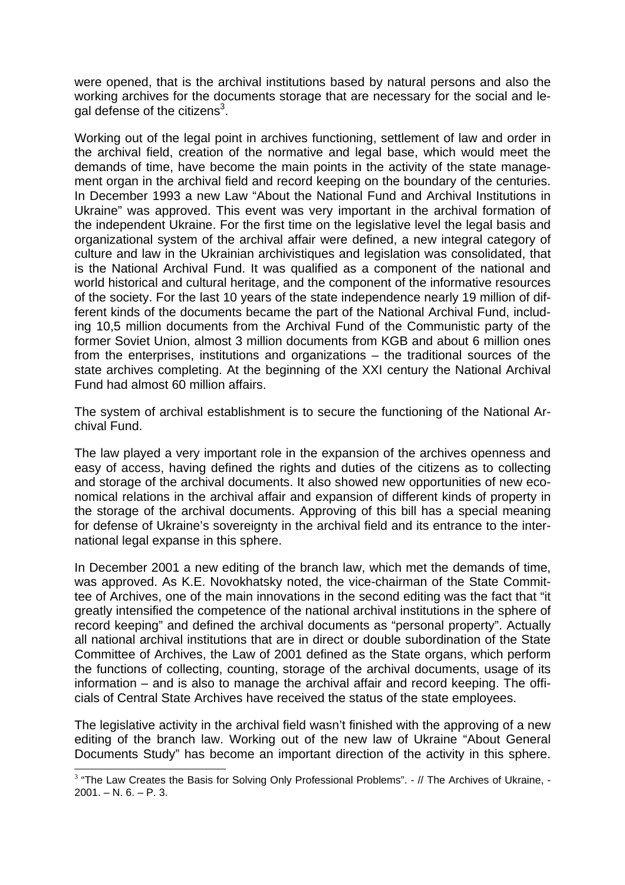were opened, that is the archival institutions based by natural persons and also the working archives for the documents storage that are necessary for the social and legal defense of the citizens<sup>3</sup>.

Working out of the legal point in archives functioning, settlement of law and order in the archival field, creation of the normative and legal base, which would meet the demands of time, have become the main points in the activity of the state management organ in the archival field and record keeping on the boundary of the centuries. In December 1993 a new Law "About the National Fund and Archival Institutions in Ukraine" was approved. This event was very important in the archival formation of the independent Ukraine. For the first time on the legislative level the legal basis and organizational system of the archival affair were defined, a new integral category of culture and law in the Ukrainian archivistiques and legislation was consolidated, that is the National Archival Fund. It was qualified as a component of the national and world historical and cultural heritage, and the component of the informative resources of the society. For the last 10 years of the state independence nearly 19 million of different kinds of the documents became the part of the National Archival Fund, including 10,5 million documents from the Archival Fund of the Communistic party of the former Soviet Union, almost 3 million documents from KGB and about 6 million ones from the enterprises, institutions and organizations – the traditional sources of the state archives completing. At the beginning of the XXI century the National Archival Fund had almost 60 million affairs.

The system of archival establishment is to secure the functioning of the National Archival Fund.

The law played a very important role in the expansion of the archives openness and easy of access, having defined the rights and duties of the citizens as to collecting and storage of the archival documents. It also showed new opportunities of new economical relations in the archival affair and expansion of different kinds of property in the storage of the archival documents. Approving of this bill has a special meaning for defense of Ukraine's sovereignty in the archival field and its entrance to the international legal expanse in this sphere.

In December 2001 a new editing of the branch law, which met the demands of time, was approved. As K.E. Novokhatsky noted, the vice-chairman of the State Committee of Archives, one of the main innovations in the second editing was the fact that "it greatly intensified the competence of the national archival institutions in the sphere of record keeping" and defined the archival documents as "personal property". Actually all national archival institutions that are in direct or double subordination of the State Committee of Archives, the Law of 2001 defined as the State organs, which perform the functions of collecting, counting, storage of the archival documents, usage of its information – and is also to manage the archival affair and record keeping. The officials of Central State Archives have received the status of the state employees.

The legislative activity in the archival field wasn't finished with the approving of a new editing of the branch law. Working out of the new law of Ukraine "About General Documents Study" has become an important direction of the activity in this sphere.

 $\overline{a}$ 

<sup>&</sup>lt;sup>3</sup> "The Law Creates the Basis for Solving Only Professional Problems". - // The Archives of Ukraine, - $2001. - N. 6. - P. 3.$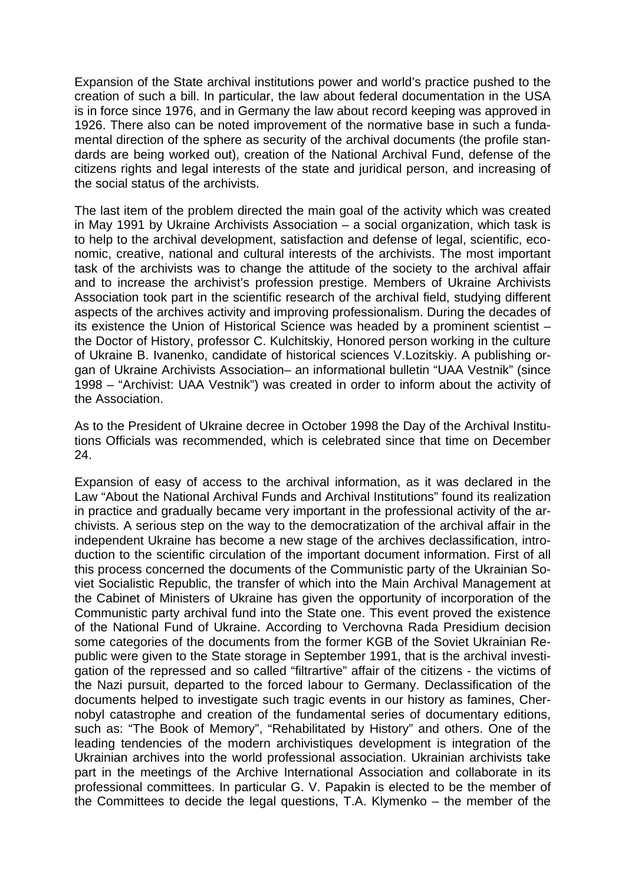Expansion of the State archival institutions power and world's practice pushed to the creation of such a bill. In particular, the law about federal documentation in the USA is in force since 1976, and in Germany the law about record keeping was approved in 1926. There also can be noted improvement of the normative base in such a fundamental direction of the sphere as security of the archival documents (the profile standards are being worked out), creation of the National Archival Fund, defense of the citizens rights and legal interests of the state and juridical person, and increasing of the social status of the archivists.

The last item of the problem directed the main goal of the activity which was created in May 1991 by Ukraine Archivists Association – a social organization, which task is to help to the archival development, satisfaction and defense of legal, scientific, economic, creative, national and cultural interests of the archivists. The most important task of the archivists was to change the attitude of the society to the archival affair and to increase the archivist's profession prestige. Members of Ukraine Archivists Association took part in the scientific research of the archival field, studying different aspects of the archives activity and improving professionalism. During the decades of its existence the Union of Historical Science was headed by a prominent scientist – the Doctor of History, professor C. Kulchitskiy, Honored person working in the culture of Ukraine B. Ivanenko, candidate of historical sciences V.Lozitskiy. A publishing organ of Ukraine Archivists Association– an informational bulletin "UAA Vestnik" (since 1998 – "Archivist: UAA Vestnik") was created in order to inform about the activity of the Association.

As to the President of Ukraine decree in October 1998 the Day of the Archival Institutions Officials was recommended, which is celebrated since that time on December 24.

Expansion of easy of access to the archival information, as it was declared in the Law "About the National Archival Funds and Archival Institutions" found its realization in practice and gradually became very important in the professional activity of the archivists. A serious step on the way to the democratization of the archival affair in the independent Ukraine has become a new stage of the archives declassification, introduction to the scientific circulation of the important document information. First of all this process concerned the documents of the Communistic party of the Ukrainian Soviet Socialistic Republic, the transfer of which into the Main Archival Management at the Cabinet of Ministers of Ukraine has given the opportunity of incorporation of the Communistic party archival fund into the State one. This event proved the existence of the National Fund of Ukraine. According to Verchovna Rada Presidium decision some categories of the documents from the former KGB of the Soviet Ukrainian Republic were given to the State storage in September 1991, that is the archival investigation of the repressed and so called "filtrartive" affair of the citizens - the victims of the Nazi pursuit, departed to the forced labour to Germany. Declassification of the documents helped to investigate such tragic events in our history as famines, Chernobyl catastrophe and creation of the fundamental series of documentary editions, such as: "The Book of Memory", "Rehabilitated by History" and others. One of the leading tendencies of the modern archivistiques development is integration of the Ukrainian archives into the world professional association. Ukrainian archivists take part in the meetings of the Archive International Association and collaborate in its professional committees. In particular G. V. Papakin is elected to be the member of the Committees to decide the legal questions, T.A. Klymenko – the member of the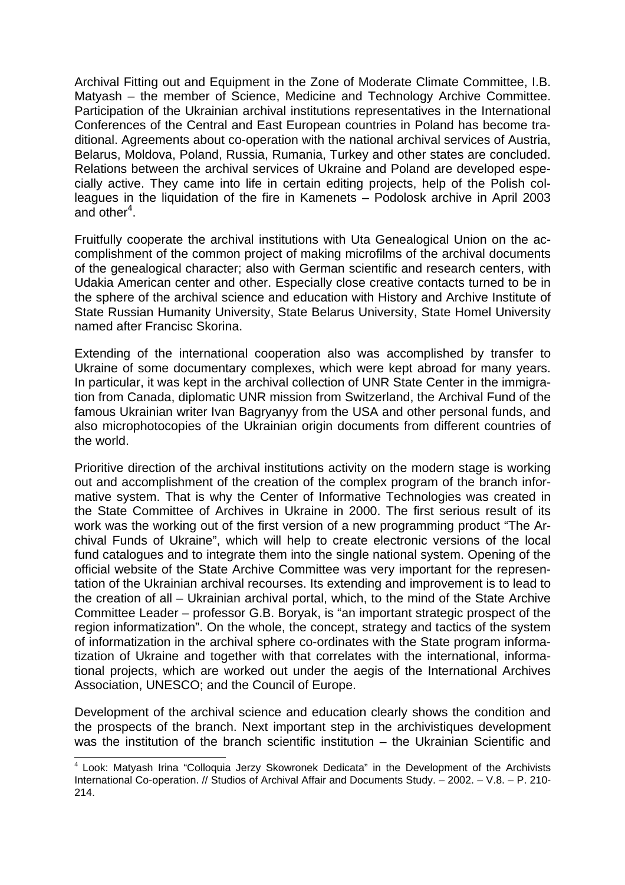Archival Fitting out and Equipment in the Zone of Moderate Climate Committee, I.B. Matyash – the member of Science, Medicine and Technology Archive Committee. Participation of the Ukrainian archival institutions representatives in the International Conferences of the Central and East European countries in Poland has become traditional. Agreements about co-operation with the national archival services of Austria, Belarus, Moldova, Poland, Russia, Rumania, Turkey and other states are concluded. Relations between the archival services of Ukraine and Poland are developed especially active. They came into life in certain editing projects, help of the Polish colleagues in the liquidation of the fire in Kamenets – Podolosk archive in April 2003 and other<sup>4</sup>.

Fruitfully cooperate the archival institutions with Uta Genealogical Union on the accomplishment of the common project of making microfilms of the archival documents of the genealogical character; also with German scientific and research centers, with Udakia American center and other. Especially close creative contacts turned to be in the sphere of the archival science and education with History and Archive Institute of State Russian Humanity University, State Belarus University, State Homel University named after Francisc Skorina.

Extending of the international cooperation also was accomplished by transfer to Ukraine of some documentary complexes, which were kept abroad for many years. In particular, it was kept in the archival collection of UNR State Center in the immigration from Canada, diplomatic UNR mission from Switzerland, the Archival Fund of the famous Ukrainian writer Ivan Bagryanyy from the USA and other personal funds, and also microphotocopies of the Ukrainian origin documents from different countries of the world.

Prioritive direction of the archival institutions activity on the modern stage is working out and accomplishment of the creation of the complex program of the branch informative system. That is why the Center of Informative Technologies was created in the State Committee of Archives in Ukraine in 2000. The first serious result of its work was the working out of the first version of a new programming product "The Archival Funds of Ukraine", which will help to create electronic versions of the local fund catalogues and to integrate them into the single national system. Opening of the official website of the State Archive Committee was very important for the representation of the Ukrainian archival recourses. Its extending and improvement is to lead to the creation of all – Ukrainian archival portal, which, to the mind of the State Archive Committee Leader – professor G.B. Boryak, is "an important strategic prospect of the region informatization". On the whole, the concept, strategy and tactics of the system of informatization in the archival sphere co-ordinates with the State program informatization of Ukraine and together with that correlates with the international, informational projects, which are worked out under the aegis of the International Archives Association, UNESCO; and the Council of Europe.

Development of the archival science and education clearly shows the condition and the prospects of the branch. Next important step in the archivistiques development was the institution of the branch scientific institution – the Ukrainian Scientific and

 $\overline{a}$  $4$  Look: Matyash Irina "Colloquia Jerzy Skowronek Dedicata" in the Development of the Archivists International Co-operation. // Studios of Archival Affair and Documents Study. – 2002. – V.8. – P. 210- 214.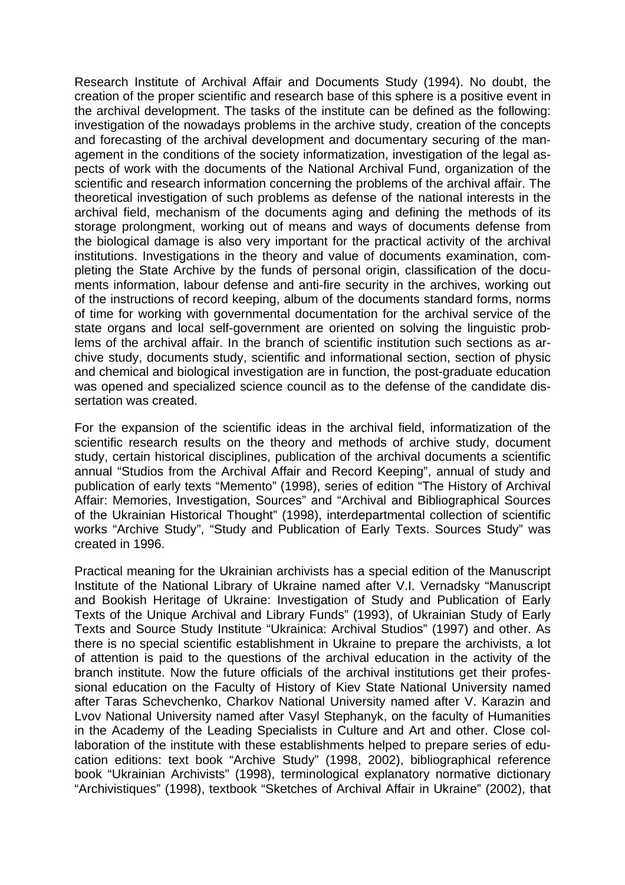Research Institute of Archival Affair and Documents Study (1994). No doubt, the creation of the proper scientific and research base of this sphere is a positive event in the archival development. The tasks of the institute can be defined as the following: investigation of the nowadays problems in the archive study, creation of the concepts and forecasting of the archival development and documentary securing of the management in the conditions of the society informatization, investigation of the legal aspects of work with the documents of the National Archival Fund, organization of the scientific and research information concerning the problems of the archival affair. The theoretical investigation of such problems as defense of the national interests in the archival field, mechanism of the documents aging and defining the methods of its storage prolongment, working out of means and ways of documents defense from the biological damage is also very important for the practical activity of the archival institutions. Investigations in the theory and value of documents examination, completing the State Archive by the funds of personal origin, classification of the documents information, labour defense and anti-fire security in the archives, working out of the instructions of record keeping, album of the documents standard forms, norms of time for working with governmental documentation for the archival service of the state organs and local self-government are oriented on solving the linguistic problems of the archival affair. In the branch of scientific institution such sections as archive study, documents study, scientific and informational section, section of physic and chemical and biological investigation are in function, the post-graduate education was opened and specialized science council as to the defense of the candidate dissertation was created.

For the expansion of the scientific ideas in the archival field, informatization of the scientific research results on the theory and methods of archive study, document study, certain historical disciplines, publication of the archival documents a scientific annual "Studios from the Archival Affair and Record Keeping", annual of study and publication of early texts "Memento" (1998), series of edition "The History of Archival Affair: Memories, Investigation, Sources" and "Archival and Bibliographical Sources of the Ukrainian Historical Thought" (1998), interdepartmental collection of scientific works "Archive Study", "Study and Publication of Early Texts. Sources Study" was created in 1996.

Practical meaning for the Ukrainian archivists has a special edition of the Manuscript Institute of the National Library of Ukraine named after V.I. Vernadsky "Manuscript and Bookish Heritage of Ukraine: Investigation of Study and Publication of Early Texts of the Unique Archival and Library Funds" (1993), of Ukrainian Study of Early Texts and Source Study Institute "Ukrainica: Archival Studios" (1997) and other. As there is no special scientific establishment in Ukraine to prepare the archivists, a lot of attention is paid to the questions of the archival education in the activity of the branch institute. Now the future officials of the archival institutions get their professional education on the Faculty of History of Kiev State National University named after Taras Schevchenko, Charkov National University named after V. Karazin and Lvov National University named after Vasyl Stephanyk, on the faculty of Humanities in the Academy of the Leading Specialists in Culture and Art and other. Close collaboration of the institute with these establishments helped to prepare series of education editions: text book "Archive Study" (1998, 2002), bibliographical reference book "Ukrainian Archivists" (1998), terminological explanatory normative dictionary "Archivistiques" (1998), textbook "Sketches of Archival Affair in Ukraine" (2002), that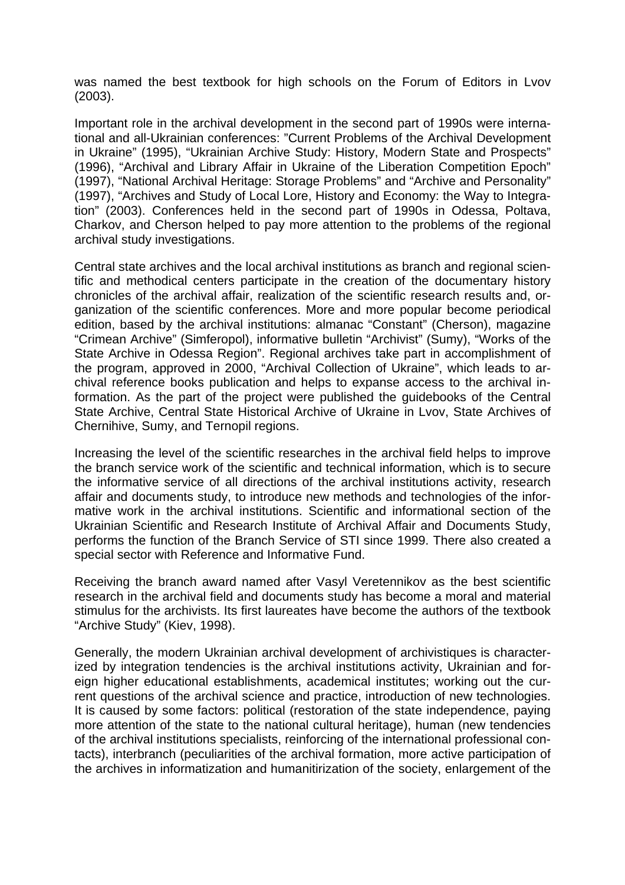was named the best textbook for high schools on the Forum of Editors in Lvov (2003).

Important role in the archival development in the second part of 1990s were international and all-Ukrainian conferences: "Current Problems of the Archival Development in Ukraine" (1995), "Ukrainian Archive Study: History, Modern State and Prospects" (1996), "Archival and Library Affair in Ukraine of the Liberation Competition Epoch" (1997), "National Archival Heritage: Storage Problems" and "Archive and Personality" (1997), "Archives and Study of Local Lore, History and Economy: the Way to Integration" (2003). Conferences held in the second part of 1990s in Odessa, Poltava, Charkov, and Cherson helped to pay more attention to the problems of the regional archival study investigations.

Central state archives and the local archival institutions as branch and regional scientific and methodical centers participate in the creation of the documentary history chronicles of the archival affair, realization of the scientific research results and, organization of the scientific conferences. More and more popular become periodical edition, based by the archival institutions: almanac "Constant" (Cherson), magazine "Crimean Archive" (Simferopol), informative bulletin "Archivist" (Sumy), "Works of the State Archive in Odessa Region". Regional archives take part in accomplishment of the program, approved in 2000, "Archival Collection of Ukraine", which leads to archival reference books publication and helps to expanse access to the archival information. As the part of the project were published the guidebooks of the Central State Archive, Central State Historical Archive of Ukraine in Lvov, State Archives of Chernihive, Sumy, and Ternopil regions.

Increasing the level of the scientific researches in the archival field helps to improve the branch service work of the scientific and technical information, which is to secure the informative service of all directions of the archival institutions activity, research affair and documents study, to introduce new methods and technologies of the informative work in the archival institutions. Scientific and informational section of the Ukrainian Scientific and Research Institute of Archival Affair and Documents Study, performs the function of the Branch Service of STI since 1999. There also created a special sector with Reference and Informative Fund.

Receiving the branch award named after Vasyl Veretennikov as the best scientific research in the archival field and documents study has become a moral and material stimulus for the archivists. Its first laureates have become the authors of the textbook "Archive Study" (Kiev, 1998).

Generally, the modern Ukrainian archival development of archivistiques is characterized by integration tendencies is the archival institutions activity, Ukrainian and foreign higher educational establishments, academical institutes; working out the current questions of the archival science and practice, introduction of new technologies. It is caused by some factors: political (restoration of the state independence, paying more attention of the state to the national cultural heritage), human (new tendencies of the archival institutions specialists, reinforcing of the international professional contacts), interbranch (peculiarities of the archival formation, more active participation of the archives in informatization and humanitirization of the society, enlargement of the